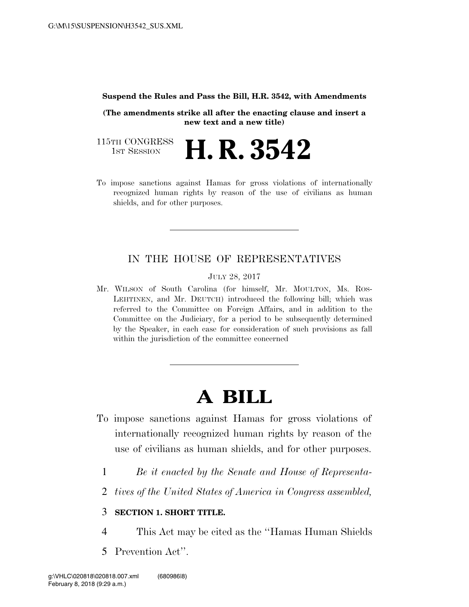#### **Suspend the Rules and Pass the Bill, H.R. 3542, with Amendments**

**(The amendments strike all after the enacting clause and insert a new text and a new title)** 

115TH CONGRESS<br>1st Session **H. R. 3542** 

To impose sanctions against Hamas for gross violations of internationally recognized human rights by reason of the use of civilians as human shields, and for other purposes.

## IN THE HOUSE OF REPRESENTATIVES

JULY 28, 2017

Mr. WILSON of South Carolina (for himself, Mr. MOULTON, Ms. ROS-LEHTINEN, and Mr. DEUTCH) introduced the following bill; which was referred to the Committee on Foreign Affairs, and in addition to the Committee on the Judiciary, for a period to be subsequently determined by the Speaker, in each case for consideration of such provisions as fall within the jurisdiction of the committee concerned

# **A BILL**

- To impose sanctions against Hamas for gross violations of internationally recognized human rights by reason of the use of civilians as human shields, and for other purposes.
	- 1 *Be it enacted by the Senate and House of Representa-*
	- 2 *tives of the United States of America in Congress assembled,*

## 3 **SECTION 1. SHORT TITLE.**

- 4 This Act may be cited as the ''Hamas Human Shields
- 5 Prevention Act''.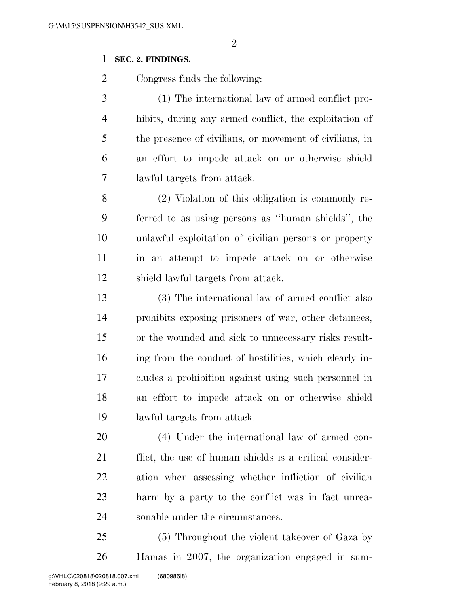### **SEC. 2. FINDINGS.**

Congress finds the following:

 (1) The international law of armed conflict pro- hibits, during any armed conflict, the exploitation of the presence of civilians, or movement of civilians, in an effort to impede attack on or otherwise shield lawful targets from attack.

 (2) Violation of this obligation is commonly re- ferred to as using persons as ''human shields'', the unlawful exploitation of civilian persons or property in an attempt to impede attack on or otherwise shield lawful targets from attack.

 (3) The international law of armed conflict also prohibits exposing prisoners of war, other detainees, or the wounded and sick to unnecessary risks result- ing from the conduct of hostilities, which clearly in- cludes a prohibition against using such personnel in an effort to impede attack on or otherwise shield lawful targets from attack.

 (4) Under the international law of armed con- flict, the use of human shields is a critical consider- ation when assessing whether infliction of civilian harm by a party to the conflict was in fact unrea-sonable under the circumstances.

 (5) Throughout the violent takeover of Gaza by Hamas in 2007, the organization engaged in sum-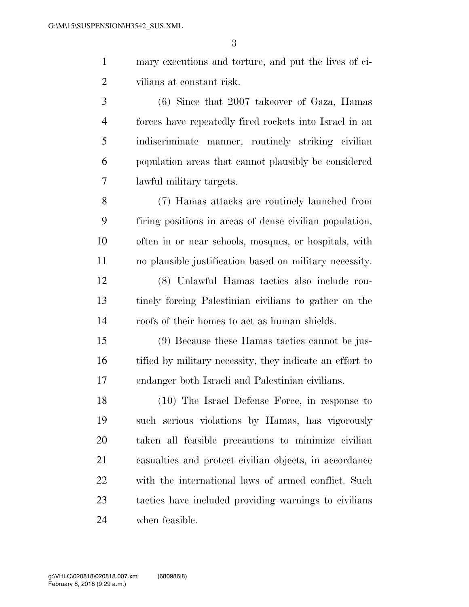- mary executions and torture, and put the lives of ci-vilians at constant risk.
- (6) Since that 2007 takeover of Gaza, Hamas forces have repeatedly fired rockets into Israel in an indiscriminate manner, routinely striking civilian population areas that cannot plausibly be considered lawful military targets.
- (7) Hamas attacks are routinely launched from firing positions in areas of dense civilian population, often in or near schools, mosques, or hospitals, with no plausible justification based on military necessity.
- (8) Unlawful Hamas tactics also include rou- tinely forcing Palestinian civilians to gather on the roofs of their homes to act as human shields.
- (9) Because these Hamas tactics cannot be jus-16 tified by military necessity, they indicate an effort to endanger both Israeli and Palestinian civilians.
- (10) The Israel Defense Force, in response to such serious violations by Hamas, has vigorously taken all feasible precautions to minimize civilian casualties and protect civilian objects, in accordance with the international laws of armed conflict. Such tactics have included providing warnings to civilians when feasible.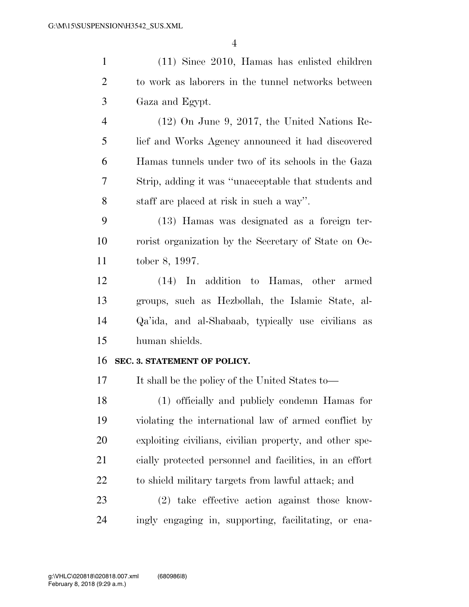| $\mathbf{1}$   | $(11)$ Since 2010, Hamas has enlisted children          |
|----------------|---------------------------------------------------------|
| $\overline{2}$ | to work as laborers in the tunnel networks between      |
| 3              | Gaza and Egypt.                                         |
| 4              | $(12)$ On June 9, 2017, the United Nations Re-          |
| 5              | lief and Works Agency announced it had discovered       |
| 6              | Hamas tunnels under two of its schools in the Gaza      |
| 7              | Strip, adding it was "unacceptable that students and    |
| 8              | staff are placed at risk in such a way".                |
| 9              | (13) Hamas was designated as a foreign ter-             |
| 10             | rorist organization by the Secretary of State on Oc-    |
| 11             | tober 8, 1997.                                          |
| 12             | (14) In addition to Hamas, other armed                  |
| 13             | groups, such as Hezbollah, the Islamic State, al-       |
| 14             | Qa'ida, and al-Shabaab, typically use civilians as      |
| 15             | human shields.                                          |
| 16             | SEC. 3. STATEMENT OF POLICY.                            |
| 17             | It shall be the policy of the United States to—         |
| 18             | (1) officially and publicly condemn Hamas for           |
| 19             | violating the international law of armed conflict by    |
| 20             | exploiting civilians, civilian property, and other spe- |
| 21             | cially protected personnel and facilities, in an effort |
| 22             | to shield military targets from lawful attack; and      |
| 23             | (2) take effective action against those know-           |
| 24             | ingly engaging in, supporting, facilitating, or ena-    |
|                |                                                         |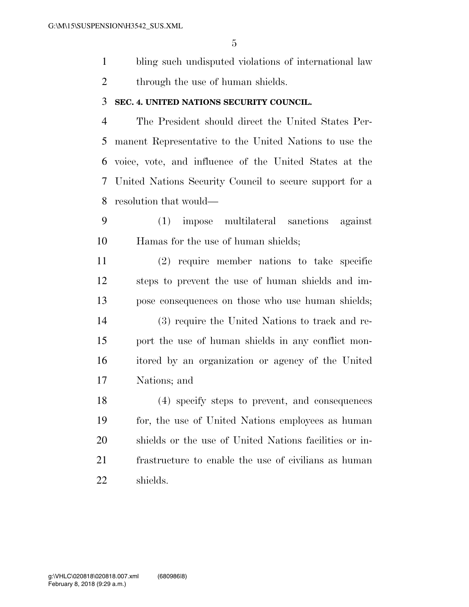- bling such undisputed violations of international law
- 2 through the use of human shields.

#### **SEC. 4. UNITED NATIONS SECURITY COUNCIL.**

 The President should direct the United States Per- manent Representative to the United Nations to use the voice, vote, and influence of the United States at the United Nations Security Council to secure support for a resolution that would—

 (1) impose multilateral sanctions against Hamas for the use of human shields;

 (2) require member nations to take specific steps to prevent the use of human shields and im- pose consequences on those who use human shields; (3) require the United Nations to track and re- port the use of human shields in any conflict mon- itored by an organization or agency of the United Nations; and

 (4) specify steps to prevent, and consequences for, the use of United Nations employees as human shields or the use of United Nations facilities or in- frastructure to enable the use of civilians as human shields.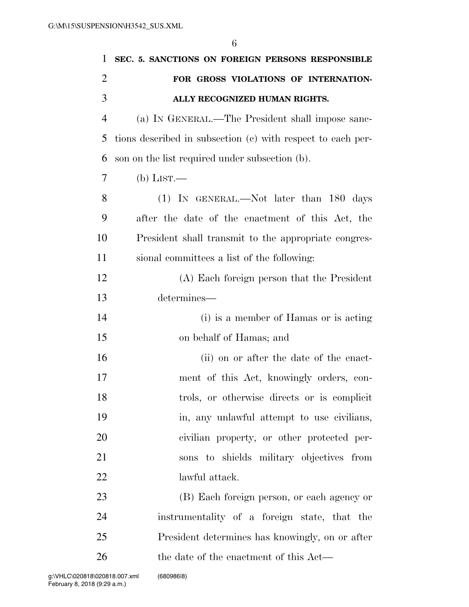| 1              | SEC. 5. SANCTIONS ON FOREIGN PERSONS RESPONSIBLE            |
|----------------|-------------------------------------------------------------|
| $\overline{2}$ | FOR GROSS VIOLATIONS OF INTERNATION-                        |
| 3              | ALLY RECOGNIZED HUMAN RIGHTS.                               |
| $\overline{4}$ | (a) IN GENERAL.—The President shall impose sanc-            |
| 5              | tions described in subsection (c) with respect to each per- |
| 6              | son on the list required under subsection (b).              |
| 7              | (b) LIST.—                                                  |
| 8              | $(1)$ In GENERAL.—Not later than 180 days                   |
| 9              | after the date of the enactment of this Act, the            |
| 10             | President shall transmit to the appropriate congres-        |
| 11             | sional committees a list of the following:                  |
| 12             | (A) Each foreign person that the President                  |
| 13             | determines—                                                 |
| 14             | (i) is a member of Hamas or is acting                       |
| 15             | on behalf of Hamas; and                                     |
| 16             | (ii) on or after the date of the enact-                     |
| 17             | ment of this Act, knowingly orders, con-                    |
| 18             | trols, or otherwise directs or is complicit                 |
| 19             | in, any unlawful attempt to use civilians,                  |
| 20             | civilian property, or other protected per-                  |
| 21             | sons to shields military objectives from                    |
| 22             | lawful attack.                                              |
| 23             | (B) Each foreign person, or each agency or                  |
| 24             | instrumentality of a foreign state, that the                |
| 25             | President determines has knowingly, on or after             |
| 26             | the date of the enactment of this Act—                      |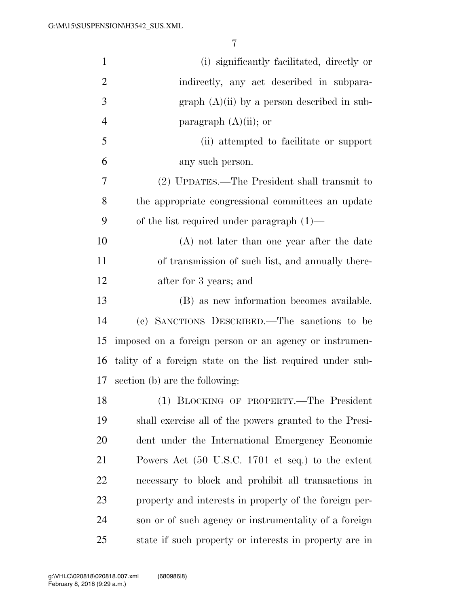| $\mathbf{1}$   | (i) significantly facilitated, directly or                |
|----------------|-----------------------------------------------------------|
| $\overline{2}$ | indirectly, any act described in subpara-                 |
| 3              | graph $(A)(ii)$ by a person described in sub-             |
| $\overline{4}$ | paragraph $(A)(ii)$ ; or                                  |
| 5              | (ii) attempted to facilitate or support                   |
| 6              | any such person.                                          |
| 7              | (2) UPDATES.—The President shall transmit to              |
| 8              | the appropriate congressional committees an update        |
| 9              | of the list required under paragraph $(1)$ —              |
| 10             | (A) not later than one year after the date                |
| 11             | of transmission of such list, and annually there-         |
| 12             | after for 3 years; and                                    |
| 13             | (B) as new information becomes available.                 |
| 14             | (c) SANCTIONS DESCRIBED.—The sanctions to be              |
| 15             | imposed on a foreign person or an agency or instrumen-    |
| 16             | tality of a foreign state on the list required under sub- |
| 17             | section (b) are the following:                            |
| 18             | (1) BLOCKING OF PROPERTY.-The President                   |
| 19             | shall exercise all of the powers granted to the Presi-    |
| 20             | dent under the International Emergency Economic           |
| 21             | Powers Act (50 U.S.C. 1701 et seq.) to the extent         |
| 22             | necessary to block and prohibit all transactions in       |
| 23             | property and interests in property of the foreign per-    |
| 24             | son or of such agency or instrumentality of a foreign     |
| 25             | state if such property or interests in property are in    |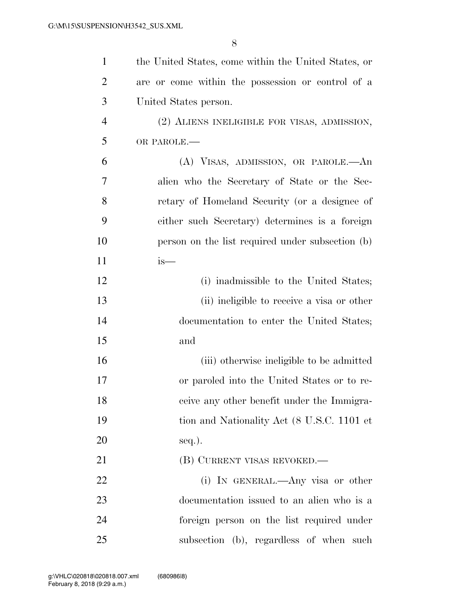| $\mathbf{1}$   | the United States, come within the United States, or |
|----------------|------------------------------------------------------|
| $\overline{c}$ | are or come within the possession or control of a    |
| 3              | United States person.                                |
| $\overline{4}$ | (2) ALIENS INELIGIBLE FOR VISAS, ADMISSION,          |
| 5              | OR PAROLE.-                                          |
| 6              | (A) VISAS, ADMISSION, OR PAROLE.—An                  |
| 7              | alien who the Secretary of State or the Sec-         |
| 8              | retary of Homeland Security (or a designee of        |
| 9              | either such Secretary) determines is a foreign       |
| 10             | person on the list required under subsection (b)     |
| 11             | $is-$                                                |
| 12             | (i) inadmissible to the United States;               |
| 13             | (ii) ineligible to receive a visa or other           |
| 14             | documentation to enter the United States;            |
| 15             | and                                                  |
| 16             | (iii) otherwise ineligible to be admitted            |
| 17             | or paroled into the United States or to re-          |
| 18             | ceive any other benefit under the Immigra-           |
| 19             | tion and Nationality Act (8 U.S.C. 1101 et           |
| 20             | $seq.$ ).                                            |
| 21             | (B) CURRENT VISAS REVOKED.—                          |
| 22             | (i) IN GENERAL.—Any visa or other                    |
| 23             | documentation issued to an alien who is a            |
| 24             | foreign person on the list required under            |
| 25             | subsection (b), regardless of when such              |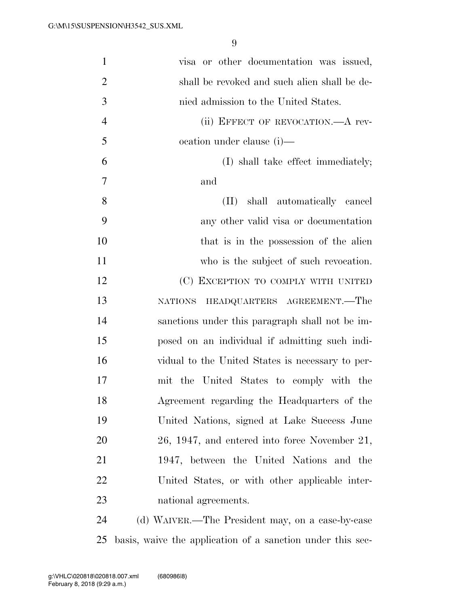| $\mathbf{1}$   | visa or other documentation was issued,                    |
|----------------|------------------------------------------------------------|
| $\overline{2}$ | shall be revoked and such alien shall be de-               |
| 3              | nied admission to the United States.                       |
| $\overline{4}$ | (ii) EFFECT OF REVOCATION.—A rev-                          |
| 5              | ocation under clause (i)—                                  |
| 6              | (I) shall take effect immediately;                         |
| 7              | and                                                        |
| 8              | shall automatically cancel<br>$(\Pi)^{-}$                  |
| 9              | any other valid visa or documentation                      |
| 10             | that is in the possession of the alien                     |
| 11             | who is the subject of such revocation.                     |
| 12             | (C) EXCEPTION TO COMPLY WITH UNITED                        |
| 13             | NATIONS HEADQUARTERS AGREEMENT.—The                        |
| 14             | sanctions under this paragraph shall not be im-            |
| 15             | posed on an individual if admitting such indi-             |
| 16             | vidual to the United States is necessary to per-           |
| 17             | mit the United States to comply with the                   |
| 18             | Agreement regarding the Headquarters of the                |
| 19             | United Nations, signed at Lake Success June                |
| 20             | 26, 1947, and entered into force November 21,              |
| 21             | 1947, between the United Nations and the                   |
| 22             | United States, or with other applicable inter-             |
| 23             | national agreements.                                       |
| 24             | (d) WAIVER.—The President may, on a case-by-case           |
| 25             | basis, waive the application of a sanction under this sec- |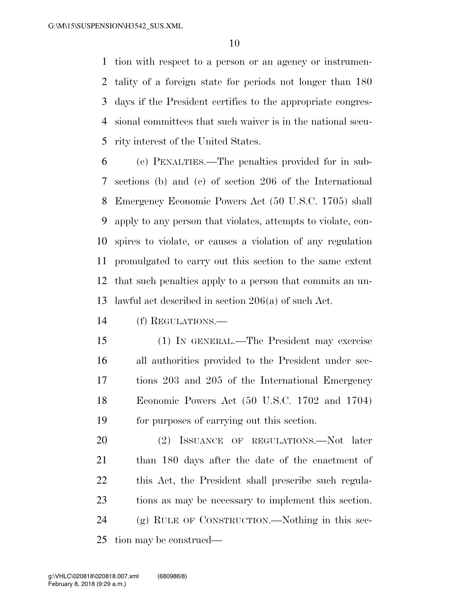tion with respect to a person or an agency or instrumen- tality of a foreign state for periods not longer than 180 days if the President certifies to the appropriate congres- sional committees that such waiver is in the national secu-rity interest of the United States.

 (e) PENALTIES.—The penalties provided for in sub- sections (b) and (c) of section 206 of the International Emergency Economic Powers Act (50 U.S.C. 1705) shall apply to any person that violates, attempts to violate, con- spires to violate, or causes a violation of any regulation promulgated to carry out this section to the same extent that such penalties apply to a person that commits an un-lawful act described in section 206(a) of such Act.

(f) REGULATIONS.—

 (1) IN GENERAL.—The President may exercise all authorities provided to the President under sec- tions 203 and 205 of the International Emergency Economic Powers Act (50 U.S.C. 1702 and 1704) for purposes of carrying out this section.

 (2) ISSUANCE OF REGULATIONS.—Not later than 180 days after the date of the enactment of this Act, the President shall prescribe such regula- tions as may be necessary to implement this section. (g) RULE OF CONSTRUCTION.—Nothing in this sec-tion may be construed—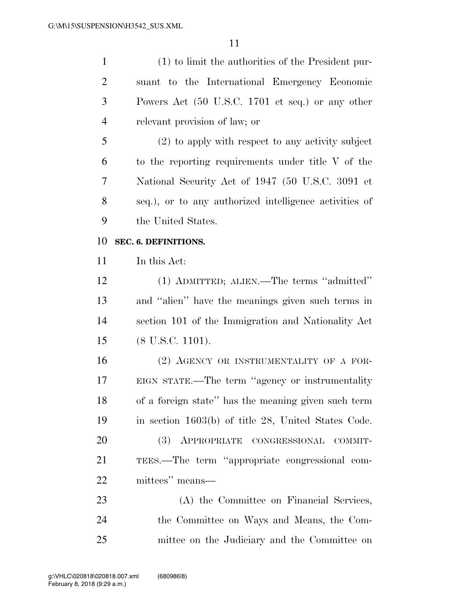| $\mathbf{1}$   | (1) to limit the authorities of the President pur-     |
|----------------|--------------------------------------------------------|
| $\overline{2}$ | suant to the International Emergency Economic          |
| 3              | Powers Act (50 U.S.C. 1701 et seq.) or any other       |
| $\overline{4}$ | relevant provision of law; or                          |
| 5              | $(2)$ to apply with respect to any activity subject    |
| 6              | to the reporting requirements under title V of the     |
| 7              | National Security Act of 1947 (50 U.S.C. 3091 et       |
| 8              | seq.), or to any authorized intelligence activities of |
| 9              | the United States.                                     |
| 10             | SEC. 6. DEFINITIONS.                                   |
| 11             | In this Act:                                           |
| 12             | (1) ADMITTED; ALIEN.—The terms "admitted"              |
| 13             | and "alien" have the meanings given such terms in      |
| 14             | section 101 of the Immigration and Nationality Act     |
| 15             | $(8 \text{ U.S.C. } 1101).$                            |
| 16             | (2) AGENCY OR INSTRUMENTALITY OF A FOR-                |
| 17             | EIGN STATE.—The term "agency or instrumentality        |
| 18             | of a foreign state" has the meaning given such term    |
| 19             | in section 1603(b) of title 28, United States Code.    |
| 20             | (3) APPROPRIATE CONGRESSIONAL COMMIT-                  |
| 21             | TEES.—The term "appropriate congressional com-         |
| 22             | mittees" means—                                        |
| 23             | (A) the Committee on Financial Services,               |
| 24             | the Committee on Ways and Means, the Com-              |
| 25             | mittee on the Judiciary and the Committee on           |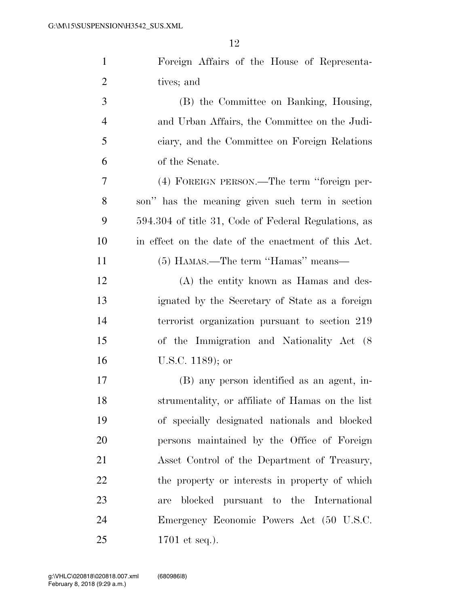| $\mathbf{1}$   | Foreign Affairs of the House of Representa-          |
|----------------|------------------------------------------------------|
| $\overline{2}$ | tives; and                                           |
| 3              | (B) the Committee on Banking, Housing,               |
| $\overline{4}$ | and Urban Affairs, the Committee on the Judi-        |
| 5              | ciary, and the Committee on Foreign Relations        |
| 6              | of the Senate.                                       |
| $\tau$         | (4) FOREIGN PERSON.—The term "foreign per-           |
| 8              | son" has the meaning given such term in section      |
| 9              | 594.304 of title 31, Code of Federal Regulations, as |
| 10             | in effect on the date of the enactment of this Act.  |
| 11             | (5) HAMAS.—The term "Hamas" means—                   |
| 12             | (A) the entity known as Hamas and des-               |
| 13             | ignated by the Secretary of State as a foreign       |
| 14             | terrorist organization pursuant to section 219       |
| 15             | of the Immigration and Nationality Act (8)           |
| 16             | U.S.C. 1189); or                                     |
| 17             | (B) any person identified as an agent, in-           |
| 18             | strumentality, or affiliate of Hamas on the list     |
| 19             | of specially designated nationals and blocked        |
| 20             | persons maintained by the Office of Foreign          |
| 21             | Asset Control of the Department of Treasury,         |
| 22             | the property or interests in property of which       |
| 23             | blocked pursuant to the International<br>are         |
| 24             | Emergency Economic Powers Act (50 U.S.C.             |
| 25             | 1701 et seq.).                                       |